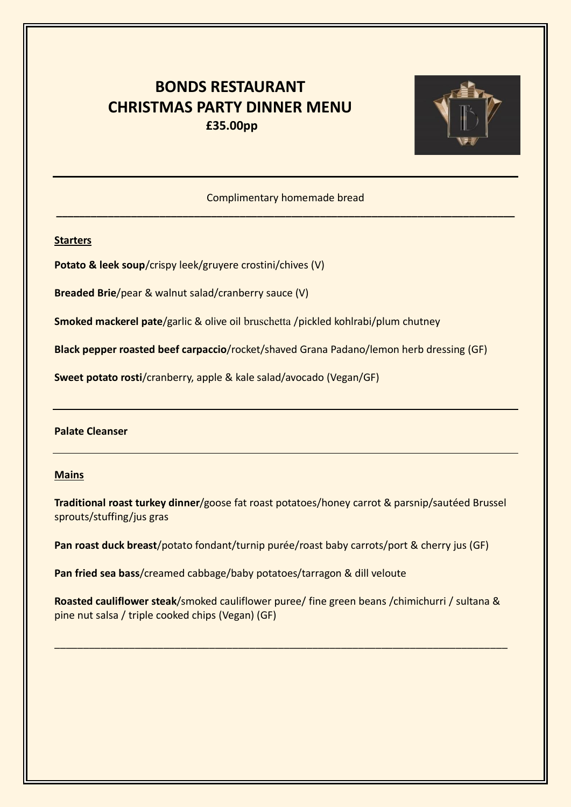# **BONDS RESTAURANT CHRISTMAS PARTY DINNER MENU £35.00pp**



Complimentary homemade bread **\_\_\_\_\_\_\_\_\_\_\_\_\_\_\_\_\_\_\_\_\_\_\_\_\_\_\_\_\_\_\_\_\_\_\_\_\_\_\_\_\_\_\_\_\_\_\_\_\_\_\_\_\_\_\_\_\_\_\_\_\_\_\_\_\_\_\_\_\_\_\_\_\_\_\_\_\_\_\_\_**

## **Starters**

**Potato & leek soup**/crispy leek/gruyere crostini/chives (V)

**Breaded Brie**/pear & walnut salad/cranberry sauce (V)

**Smoked mackerel pate**/garlic & olive oil bruschetta /pickled kohlrabi/plum chutney

**Black pepper roasted beef carpaccio**/rocket/shaved Grana Padano/lemon herb dressing (GF)

**Sweet potato rosti**/cranberry, apple & kale salad/avocado (Vegan/GF)

### **Palate Cleanser**

#### **Mains**

**Traditional roast turkey dinner**/goose fat roast potatoes/honey carrot & parsnip/sautéed Brussel sprouts/stuffing/jus gras

**Pan roast duck breast**/potato fondant/turnip purée/roast baby carrots/port & cherry jus (GF)

**Pan fried sea bass**/creamed cabbage/baby potatoes/tarragon & dill veloute

**Roasted cauliflower steak**/smoked cauliflower puree/ fine green beans /chimichurri / sultana & pine nut salsa / triple cooked chips (Vegan) (GF)

\_\_\_\_\_\_\_\_\_\_\_\_\_\_\_\_\_\_\_\_\_\_\_\_\_\_\_\_\_\_\_\_\_\_\_\_\_\_\_\_\_\_\_\_\_\_\_\_\_\_\_\_\_\_\_\_\_\_\_\_\_\_\_\_\_\_\_\_\_\_\_\_\_\_\_\_\_\_\_